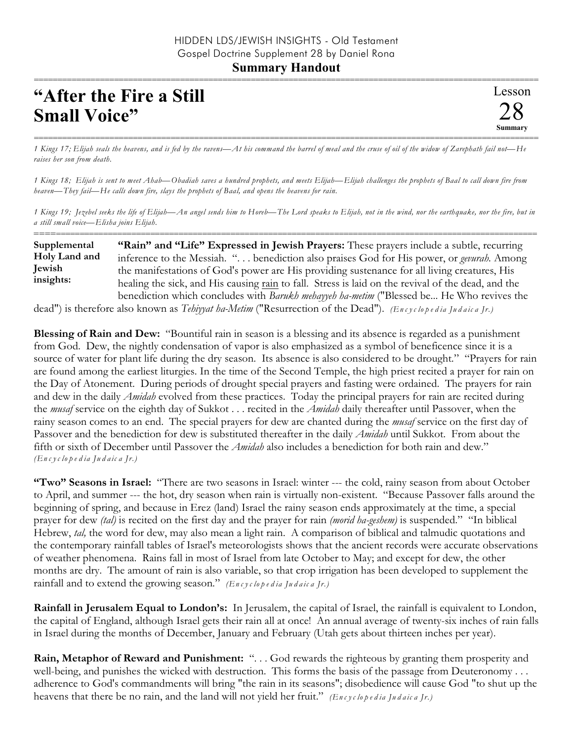## **Summary Handout**

## **"After the Fire a Still Small Voice"**

=========================================================================================================== *1 Kings 17; Elijah seals the heavens, and is fed by the ravens—At his command the barrel of meal and the cruse of oil of the widow of Zarephath fail not—He raises her son from death.*

*1 Kings 18; Elijah is sent to meet Ahab—Obadiah saves a hundred prophets, and meets Elijah—Elijah challenges the prophets of Baal to call down fire from heaven—They fail—He calls down fire, slays the prophets of Baal, and opens the heavens for rain.*

*1 Kings 19; Jezebel seeks the life of Elijah—An angel sends him to Horeb—The Lord speaks to Elijah, not in the wind, nor the earthquake, nor the fire, but in a still small voice—Elisha joins Elijah.* ==========================================================================================================

**"Rain" and "Life" Expressed in Jewish Prayers:** These prayers include a subtle, recurring inference to the Messiah. ". . . benediction also praises God for His power, or *gevurah.* Among the manifestations of God's power are His providing sustenance for all living creatures, His healing the sick, and His causing rain to fall. Stress is laid on the revival of the dead, and the benediction which concludes with *Barukh mehayyeh ha-metim* ("Blessed be... He Who revives the **Supplemental Holy Land and Jewish insights:**

dead") is therefore also known as *Tehiyyat ha-Metim* ("Resurrection of the Dead"). *(En c y c lo p e d ia Ju d a ic a Jr.)*

**Blessing of Rain and Dew:** "Bountiful rain in season is a blessing and its absence is regarded as a punishment from God. Dew, the nightly condensation of vapor is also emphasized as a symbol of beneficence since it is a source of water for plant life during the dry season. Its absence is also considered to be drought." "Prayers for rain are found among the earliest liturgies. In the time of the Second Temple, the high priest recited a prayer for rain on the Day of Atonement. During periods of drought special prayers and fasting were ordained. The prayers for rain and dew in the daily *Amidah* evolved from these practices. Today the principal prayers for rain are recited during the *musaf* service on the eighth day of Sukkot . . . recited in the *Amidah* daily thereafter until Passover, when the rainy season comes to an end. The special prayers for dew are chanted during the *musaf* service on the first day of Passover and the benediction for dew is substituted thereafter in the daily *Amidah* until Sukkot. From about the fifth or sixth of December until Passover the *Amidah* also includes a benediction for both rain and dew." *(En c y c lo p e d ia Ju d a ic a Jr.)*

**"Two" Seasons in Israel:** "There are two seasons in Israel: winter --- the cold, rainy season from about October to April, and summer --- the hot, dry season when rain is virtually non-existent. "Because Passover falls around the beginning of spring, and because in Erez (land) Israel the rainy season ends approximately at the time, a special prayer for dew *(tal)* is recited on the first day and the prayer for rain *(morid ha-geshem)* is suspended." "In biblical Hebrew, *tal,* the word for dew, may also mean a light rain. A comparison of biblical and talmudic quotations and the contemporary rainfall tables of Israel's meteorologists shows that the ancient records were accurate observations of weather phenomena. Rains fall in most of Israel from late October to May; and except for dew, the other months are dry. The amount of rain is also variable, so that crop irrigation has been developed to supplement the rainfall and to extend the growing season." *(En c y c lo p e d ia Ju d a ic a Jr.)*

**Rainfall in Jerusalem Equal to London's:** In Jerusalem, the capital of Israel, the rainfall is equivalent to London, the capital of England, although Israel gets their rain all at once! An annual average of twenty-six inches of rain falls in Israel during the months of December, January and February (Utah gets about thirteen inches per year).

**Rain, Metaphor of Reward and Punishment:** "... God rewards the righteous by granting them prosperity and well-being, and punishes the wicked with destruction. This forms the basis of the passage from Deuteronomy . . . adherence to God's commandments will bring "the rain in its seasons"; disobedience will cause God "to shut up the heavens that there be no rain, and the land will not yield her fruit." *(En c y c lo p e d ia Ju d a ic a Jr.)*